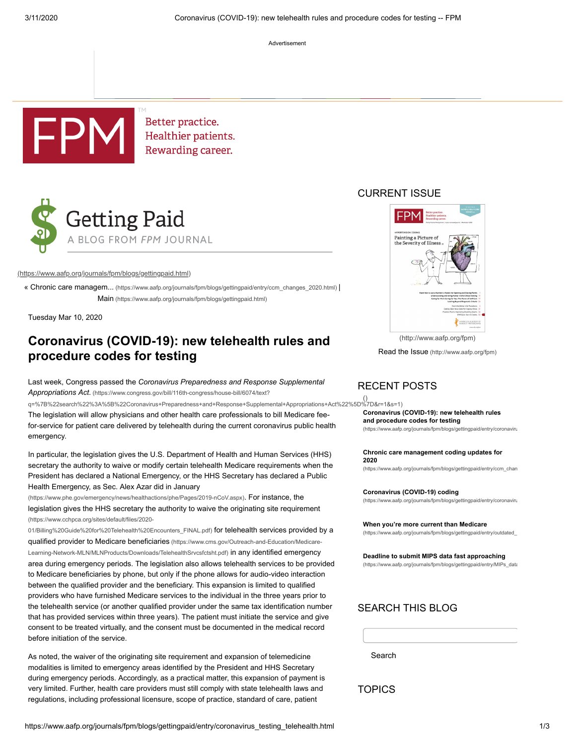Advertisement



Better practice. Healthier patients. Rewarding career.



### [\(https://www.aafp.org/journals/fpm/blogs/gettingpaid.html\)](https://www.aafp.org/journals/fpm/blogs/gettingpaid.html)

« Chronic care managem... [\(https://www.aafp.org/journals/fpm/blogs/gettingpaid/entry/ccm\\_changes\\_2020.html\)](https://www.aafp.org/journals/fpm/blogs/gettingpaid/entry/ccm_changes_2020.html) | Main [\(https://www.aafp.org/journals/fpm/blogs/gettingpaid.html\)](https://www.aafp.org/journals/fpm/blogs/gettingpaid.html)

Tuesday Mar 10, 2020

# **Coronavirus (COVID-19): new telehealth rules and procedure codes for testing**

Last week, Congress passed the *Coronavirus Preparedness and Response Supplemental Appropriations Act*. (https://www.congress.gov/bill/116th-congress/house-bill/6074/text?

[q=%7B%22search%22%3A%5B%22Coronavirus+Preparedness+and+Response+Supplemental+Appropriations+Act%22%5D%7D&r=1&s=1\)](https://www.congress.gov/bill/116th-congress/house-bill/6074/text?q=%7B%22search%22%3A%5B%22Coronavirus+Preparedness+and+Response+Supplemental+Appropriations+Act%22%5D%7D&r=1&s=1) [\(\)](https://www.aafp.org/journals/fpm/blogs/gettingpaid/entry/coronavirus_testing_telehealth.html) The legislation will allow physicians and other health care professionals to bill Medicare feefor-service for patient care delivered by telehealth during the current coronavirus public health emergency.

In particular, the legislation gives the U.S. Department of Health and Human Services (HHS) secretary the authority to waive or modify certain telehealth Medicare requirements when the President has declared a National Emergency, or the HHS Secretary has declared a Public Health Emergency, as Sec. Alex Azar did in January

[\(https://www.phe.gov/emergency/news/healthactions/phe/Pages/2019-nCoV.aspx\)](https://www.phe.gov/emergency/news/healthactions/phe/Pages/2019-nCoV.aspx). For instance, the [legislation gives the HHS secretary the authority to waive the originating site requirement](https://www.cchpca.org/sites/default/files/2020-01/Billing%20Guide%20for%20Telehealth%20Encounters_FINAL.pdf) (https://www.cchpca.org/sites/default/files/2020-

01/Billing%20Guide%20for%20Telehealth%20Encounters\_FINAL.pdf) for telehealth services provided by a qualified provider to Medicare beneficiaries (https://www.cms.gov/Outreach-and-Education/Medicare-[Learning-Network-MLN/MLNProducts/Downloads/TelehealthSrvcsfctsht.pdf\)](https://www.cms.gov/Outreach-and-Education/Medicare-Learning-Network-MLN/MLNProducts/Downloads/TelehealthSrvcsfctsht.pdf) in any identified emergency area during emergency periods. The legislation also allows telehealth services to be provided to Medicare beneficiaries by phone, but only if the phone allows for audio-video interaction between the qualified provider and the beneficiary. This expansion is limited to qualified providers who have furnished Medicare services to the individual in the three years prior to the telehealth service (or another qualified provider under the same tax identification number that has provided services within three years). The patient must initiate the service and give consent to be treated virtually, and the consent must be documented in the medical record before initiation of the service.

As noted, the waiver of the originating site requirement and expansion of telemedicine modalities is limited to emergency areas identified by the President and HHS Secretary during emergency periods. Accordingly, as a practical matter, this expansion of payment is very limited. Further, health care providers must still comply with state telehealth laws and [regulations, including professional licensure, scope of practice, standard of care, patient](https://www.cchpca.org/sites/default/files/2020-01/Billing%20Guide%20for%20Telehealth%20Encounters_FINAL.pdf)

### CURRENT ISSUE



[\(http://www.aafp.org/fpm\)](http://www.aafp.org/fpm)

Read the Issue [\(http://www.aafp.org/fpm\)](http://www.aafp.org/fpm)

### RECENT POSTS

**[Coronavirus \(COVID-19\): new telehealth rules](https://www.aafp.org/journals/fpm/blogs/gettingpaid/entry/coronavirus_testing_telehealth.html) and procedure codes for testing**

(https://www.aafp.org/journals/fpm/blogs/gettingpaid/entry/coronaviru

**[Chronic care management coding updates for](https://www.aafp.org/journals/fpm/blogs/gettingpaid/entry/ccm_changes_2020.html) 2020**

(https://www.aafp.org/journals/fpm/blogs/gettingpaid/entry/ccm\_chan

**Coronavirus (COVID-19) coding**

[\(https://www.aafp.org/journals/fpm/blogs/gettingpaid/entry/coronaviru](https://www.aafp.org/journals/fpm/blogs/gettingpaid/entry/coronavirus_diagnosis_coding.html)

**[When you're more current than Medicare](https://www.aafp.org/journals/fpm/blogs/gettingpaid/entry/outdated_medicare_ncds.html)**

(https://www.aafp.org/journals/fpm/blogs/gettingpaid/entry/outdated\_

### **[Deadline to submit MIPS data fast approaching](https://www.aafp.org/journals/fpm/blogs/gettingpaid/entry/MIPs_data_deadline.html)**

(https://www.aafp.org/journals/fpm/blogs/gettingpaid/entry/MIPs\_data

### SEARCH THIS BLOG

Search

**TOPICS**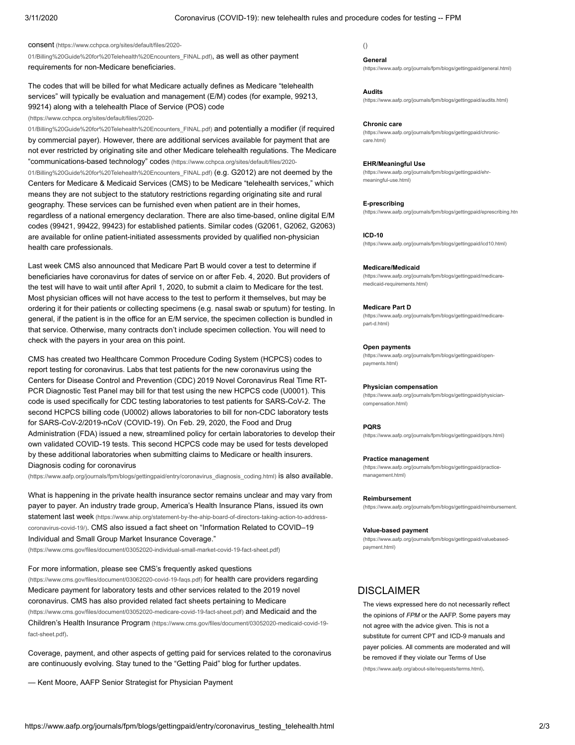consent (https://www.cchpca.org/sites/default/files/2020-

[01/Billing%20Guide%20for%20Telehealth%20Encounters\\_FINAL.pdf\)](https://www.cchpca.org/sites/default/files/2020-01/Billing%20Guide%20for%20Telehealth%20Encounters_FINAL.pdf), as well as other payment requirements for non-Medicare beneficiaries.

The codes that will be billed for what Medicare actually defines as Medicare "telehealth services" will typically be evaluation and management (E/M) codes (for example, 99213, [99214\) along with a telehealth Place of Service \(POS\) code](https://www.cchpca.org/sites/default/files/2020-01/Billing%20Guide%20for%20Telehealth%20Encounters_FINAL.pdf)

### (https://www.cchpca.org/sites/default/files/2020-

01/Billing%20Guide%20for%20Telehealth%20Encounters\_FINAL.pdf) and potentially a modifier (if required by commercial payer). However, there are additional services available for payment that are [not ever restricted by originating site and other Medicare telehealth regulations. The Medicare](https://www.cchpca.org/sites/default/files/2020-01/Billing%20Guide%20for%20Telehealth%20Encounters_FINAL.pdf) "communications-based technology" codes (https://www.cchpca.org/sites/default/files/2020- 01/Billing%20Guide%20for%20Telehealth%20Encounters\_FINAL.pdf) (e.g. G2012) are not deemed by the Centers for Medicare & Medicaid Services (CMS) to be Medicare "telehealth services," which means they are not subject to the statutory restrictions regarding originating site and rural geography. These services can be furnished even when patient are in their homes, regardless of a national emergency declaration. There are also time-based, online digital E/M codes (99421, 99422, 99423) for established patients. Similar codes (G2061, G2062, G2063) are available for online patient-initiated assessments provided by qualified non-physician health care professionals.

Last week CMS also announced that Medicare Part B would cover a test to determine if beneficiaries have coronavirus for dates of service on or after Feb. 4, 2020. But providers of the test will have to wait until after April 1, 2020, to submit a claim to Medicare for the test. Most physician offices will not have access to the test to perform it themselves, but may be ordering it for their patients or collecting specimens (e.g. nasal swab or sputum) for testing. In general, if the patient is in the office for an E/M service, the specimen collection is bundled in that service. Otherwise, many contracts don't include specimen collection. You will need to check with the payers in your area on this point.

CMS has created two Healthcare Common Procedure Coding System (HCPCS) codes to report testing for coronavirus. Labs that test patients for the new coronavirus using the Centers for Disease Control and Prevention (CDC) 2019 Novel Coronavirus Real Time RT-PCR Diagnostic Test Panel may bill for that test using the new HCPCS code (U0001). This code is used specifically for CDC testing laboratories to test patients for SARS-CoV-2. The second HCPCS billing code (U0002) allows laboratories to bill for non-CDC laboratory tests for SARS-CoV-2/2019-nCoV (COVID-19). On Feb. 29, 2020, the Food and Drug Administration (FDA) issued a new, streamlined policy for certain laboratories to develop their own validated COVID-19 tests. This second HCPCS code may be used for tests developed by these additional laboratories when submitting claims to Medicare or health insurers. Diagnosis coding for coronavirus

[\(https://www.aafp.org/journals/fpm/blogs/gettingpaid/entry/coronavirus\\_diagnosis\\_coding.html\)](https://www.aafp.org/journals/fpm/blogs/gettingpaid/entry/coronavirus_diagnosis_coding.html) is also available.

What is happening in the private health insurance sector remains unclear and may vary from [payer to payer. An industry trade group, America's Health Insurance Plans, issued its own](https://www.ahip.org/statement-by-the-ahip-board-of-directors-taking-action-to-address-coronavirus-covid-19/) statement last week (https://www.ahip.org/statement-by-the-ahip-board-of-directors-taking-action-to-addresscoronavirus-covid-19/)[. CMS also issued a fact sheet on "Information Related to COVID–19](https://www.cms.gov/files/document/03052020-individual-small-market-covid-19-fact-sheet.pdf) Individual and Small Group Market Insurance Coverage."

(https://www.cms.gov/files/document/03052020-individual-small-market-covid-19-fact-sheet.pdf)

[For more information, please see CMS's frequently asked questions](https://www.cms.gov/files/document/03062020-covid-19-faqs.pdf) (https://www.cms.gov/files/document/03062020-covid-19-faqs.pdf) for health care providers regarding Medicare payment for laboratory tests and other services related to the 2019 novel [coronavirus. CMS has also provided related fact sheets pertaining to Medicare](https://www.cms.gov/files/document/03052020-medicare-covid-19-fact-sheet.pdf) [\(https://www.cms.gov/files/document/03052020-medicare-covid-19-fact-sheet.pdf\)](https://www.cms.gov/files/document/03052020-medicaid-covid-19-fact-sheet.pdf) and Medicaid and the Children's Health Insurance Program (https://www.cms.gov/files/document/03052020-medicaid-covid-19 fact-sheet.pdf).

Coverage, payment, and other aspects of getting paid for services related to the coronavirus are continuously evolving. Stay tuned to the "Getting Paid" blog for further updates.

— Kent Moore, AAFP Senior Strategist for Physician Payment

### [\(\)](https://www.aafp.org/journals/fpm/blogs/gettingpaid/entry/coronavirus_testing_telehealth.html)

#### **General**

[\(https://www.aafp.org/journals/fpm/blogs/gettingpaid/general.html\)](https://www.aafp.org/journals/fpm/blogs/gettingpaid/general.html)

### **Audits**

[\(https://www.aafp.org/journals/fpm/blogs/gettingpaid/audits.html\)](https://www.aafp.org/journals/fpm/blogs/gettingpaid/audits.html)

#### **Chronic care**

[\(https://www.aafp.org/journals/fpm/blogs/gettingpaid/chronic](https://www.aafp.org/journals/fpm/blogs/gettingpaid/chronic-care.html)care.html)

#### **EHR/Meaningful Use**

[\(https://www.aafp.org/journals/fpm/blogs/gettingpaid/ehr](https://www.aafp.org/journals/fpm/blogs/gettingpaid/ehr-meaningful-use.html)meaningful-use.html)

#### **E-prescribing**

[\(https://www.aafp.org/journals/fpm/blogs/gettingpaid/eprescribing.htm](https://www.aafp.org/journals/fpm/blogs/gettingpaid/eprescribing.html)

#### **ICD-10**

[\(https://www.aafp.org/journals/fpm/blogs/gettingpaid/icd10.html\)](https://www.aafp.org/journals/fpm/blogs/gettingpaid/icd10.html)

#### **Medicare/Medicaid**

[\(https://www.aafp.org/journals/fpm/blogs/gettingpaid/medicare](https://www.aafp.org/journals/fpm/blogs/gettingpaid/medicare-medicaid-requirements.html)medicaid-requirements.html)

#### **Medicare Part D**

[\(https://www.aafp.org/journals/fpm/blogs/gettingpaid/medicare](https://www.aafp.org/journals/fpm/blogs/gettingpaid/medicare-part-d.html)part-d.html)

#### **Open payments**

[\(https://www.aafp.org/journals/fpm/blogs/gettingpaid/open](https://www.aafp.org/journals/fpm/blogs/gettingpaid/open-payments.html)payments.html)

#### **Physician compensation**

[\(https://www.aafp.org/journals/fpm/blogs/gettingpaid/physician](https://www.aafp.org/journals/fpm/blogs/gettingpaid/physician-compensation.html)compensation.html)

#### **PQRS**

[\(https://www.aafp.org/journals/fpm/blogs/gettingpaid/pqrs.html\)](https://www.aafp.org/journals/fpm/blogs/gettingpaid/pqrs.html)

#### **Practice management**

[\(https://www.aafp.org/journals/fpm/blogs/gettingpaid/practice](https://www.aafp.org/journals/fpm/blogs/gettingpaid/practice-management.html)management.html)

#### **Reimbursement**

[\(https://www.aafp.org/journals/fpm/blogs/gettingpaid/reimbursement.](https://www.aafp.org/journals/fpm/blogs/gettingpaid/reimbursement.html)

#### **Value-based payment**

[\(https://www.aafp.org/journals/fpm/blogs/gettingpaid/valuebased](https://www.aafp.org/journals/fpm/blogs/gettingpaid/valuebased-payment.html)payment.html)

### **DISCLAIMER**

The views expressed here do not necessarily reflect the opinions of *FPM* or the AAFP. Some payers may not agree with the advice given. This is not a substitute for current CPT and ICD-9 manuals and payer policies. All comments are moderated and will [be removed if they violate our Terms of Use](https://www.aafp.org/about-site/requests/terms.html) (https://www.aafp.org/about-site/requests/terms.html).